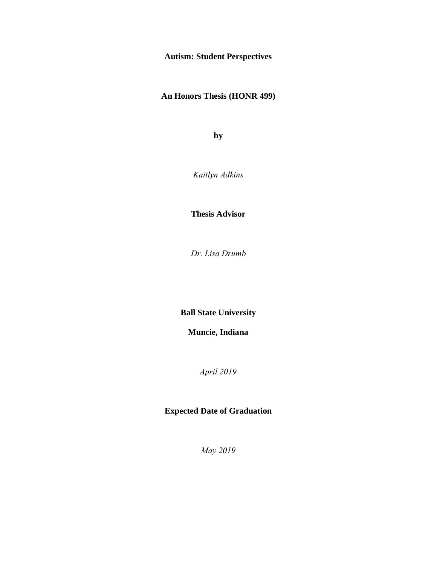# **Autism: Student Perspectives**

**An Honors Thesis (HONR 499)**

**by**

*Kaitlyn Adkins*

**Thesis Advisor**

*Dr. Lisa Drumb*

**Ball State University**

**Muncie, Indiana**

*April 2019*

**Expected Date of Graduation**

*May 2019*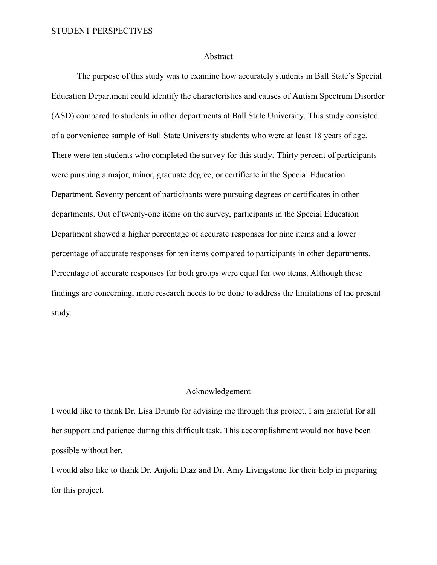# Abstract

The purpose of this study was to examine how accurately students in Ball State's Special Education Department could identify the characteristics and causes of Autism Spectrum Disorder (ASD) compared to students in other departments at Ball State University. This study consisted of a convenience sample of Ball State University students who were at least 18 years of age. There were ten students who completed the survey for this study. Thirty percent of participants were pursuing a major, minor, graduate degree, or certificate in the Special Education Department. Seventy percent of participants were pursuing degrees or certificates in other departments. Out of twenty-one items on the survey, participants in the Special Education Department showed a higher percentage of accurate responses for nine items and a lower percentage of accurate responses for ten items compared to participants in other departments. Percentage of accurate responses for both groups were equal for two items. Although these findings are concerning, more research needs to be done to address the limitations of the present study.

# Acknowledgement

I would like to thank Dr. Lisa Drumb for advising me through this project. I am grateful for all her support and patience during this difficult task. This accomplishment would not have been possible without her.

I would also like to thank Dr. Anjolii Diaz and Dr. Amy Livingstone for their help in preparing for this project.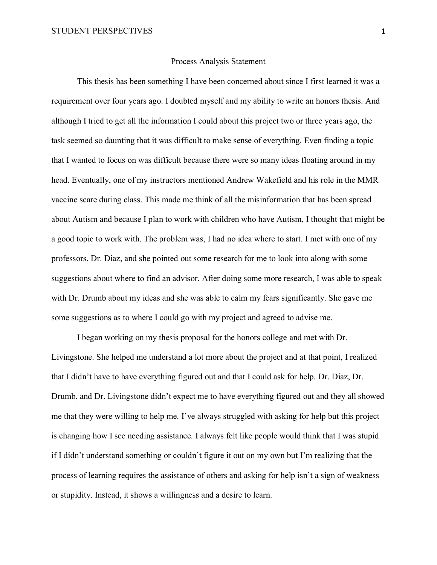# Process Analysis Statement

This thesis has been something I have been concerned about since I first learned it was a requirement over four years ago. I doubted myself and my ability to write an honors thesis. And although I tried to get all the information I could about this project two or three years ago, the task seemed so daunting that it was difficult to make sense of everything. Even finding a topic that I wanted to focus on was difficult because there were so many ideas floating around in my head. Eventually, one of my instructors mentioned Andrew Wakefield and his role in the MMR vaccine scare during class. This made me think of all the misinformation that has been spread about Autism and because I plan to work with children who have Autism, I thought that might be a good topic to work with. The problem was, I had no idea where to start. I met with one of my professors, Dr. Diaz, and she pointed out some research for me to look into along with some suggestions about where to find an advisor. After doing some more research, I was able to speak with Dr. Drumb about my ideas and she was able to calm my fears significantly. She gave me some suggestions as to where I could go with my project and agreed to advise me.

I began working on my thesis proposal for the honors college and met with Dr. Livingstone. She helped me understand a lot more about the project and at that point, I realized that I didn't have to have everything figured out and that I could ask for help. Dr. Diaz, Dr. Drumb, and Dr. Livingstone didn't expect me to have everything figured out and they all showed me that they were willing to help me. I've always struggled with asking for help but this project is changing how I see needing assistance. I always felt like people would think that I was stupid if I didn't understand something or couldn't figure it out on my own but I'm realizing that the process of learning requires the assistance of others and asking for help isn't a sign of weakness or stupidity. Instead, it shows a willingness and a desire to learn.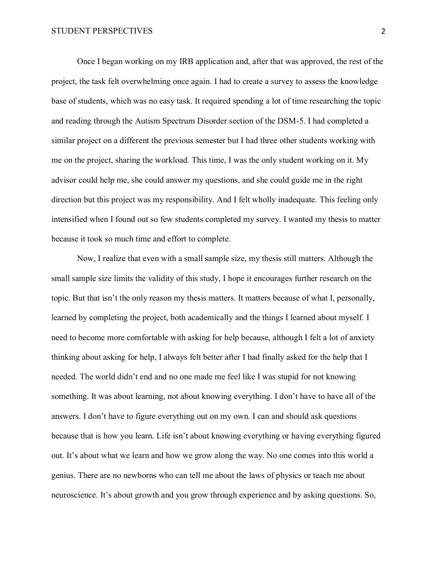Once I began working on my IRB application and, after that was approved, the rest of the project, the task felt overwhelming once again. I had to create a survey to assess the knowledge base of students, which was no easy task. It required spending a lot of time researching the topic and reading through the Autism Spectrum Disorder section of the DSM-5. I had completed a similar project on a different the previous semester but I had three other students working with me on the project, sharing the workload. This time, I was the only student working on it. My advisor could help me, she could answer my questions, and she could guide me in the right direction but this project was my responsibility. And I felt wholly inadequate. This feeling only intensified when I found out so few students completed my survey. I wanted my thesis to matter because it took so much time and effort to complete.

Now, I realize that even with a small sample size, my thesis still matters. Although the small sample size limits the validity of this study, I hope it encourages further research on the topic. But that isn't the only reason my thesis matters. It matters because of what I, personally, learned by completing the project, both academically and the things I learned about myself. I need to become more comfortable with asking for help because, although I felt a lot of anxiety thinking about asking for help, I always felt better after I had finally asked for the help that I needed. The world didn't end and no one made me feel like I was stupid for not knowing something. It was about learning, not about knowing everything. I don't have to have all of the answers. I don't have to figure everything out on my own. I can and should ask questions because that is how you learn. Life isn't about knowing everything or having everything figured out. It's about what we learn and how we grow along the way. No one comes into this world a genius. There are no newborns who can tell me about the laws of physics or teach me about neuroscience. It's about growth and you grow through experience and by asking questions. So,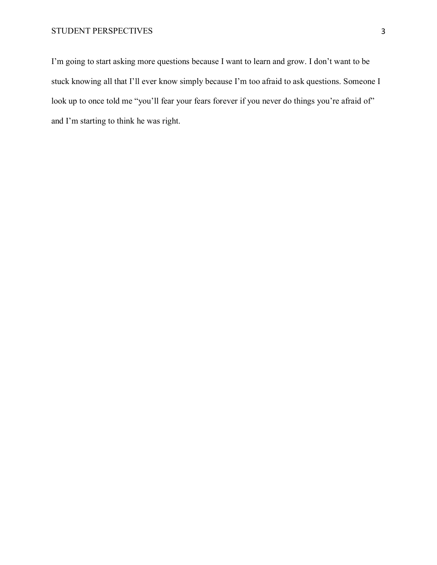I'm going to start asking more questions because I want to learn and grow. I don't want to be stuck knowing all that I'll ever know simply because I'm too afraid to ask questions. Someone I look up to once told me "you'll fear your fears forever if you never do things you're afraid of" and I'm starting to think he was right.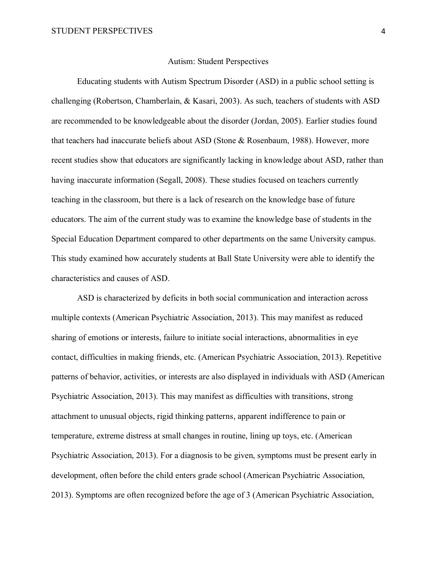# Autism: Student Perspectives

Educating students with Autism Spectrum Disorder (ASD) in a public school setting is challenging (Robertson, Chamberlain, & Kasari, 2003). As such, teachers of students with ASD are recommended to be knowledgeable about the disorder (Jordan, 2005). Earlier studies found that teachers had inaccurate beliefs about ASD (Stone & Rosenbaum, 1988). However, more recent studies show that educators are significantly lacking in knowledge about ASD, rather than having inaccurate information (Segall, 2008). These studies focused on teachers currently teaching in the classroom, but there is a lack of research on the knowledge base of future educators. The aim of the current study was to examine the knowledge base of students in the Special Education Department compared to other departments on the same University campus. This study examined how accurately students at Ball State University were able to identify the characteristics and causes of ASD.

ASD is characterized by deficits in both social communication and interaction across multiple contexts (American Psychiatric Association, 2013). This may manifest as reduced sharing of emotions or interests, failure to initiate social interactions, abnormalities in eye contact, difficulties in making friends, etc. (American Psychiatric Association, 2013). Repetitive patterns of behavior, activities, or interests are also displayed in individuals with ASD (American Psychiatric Association, 2013). This may manifest as difficulties with transitions, strong attachment to unusual objects, rigid thinking patterns, apparent indifference to pain or temperature, extreme distress at small changes in routine, lining up toys, etc. (American Psychiatric Association, 2013). For a diagnosis to be given, symptoms must be present early in development, often before the child enters grade school (American Psychiatric Association, 2013). Symptoms are often recognized before the age of 3 (American Psychiatric Association,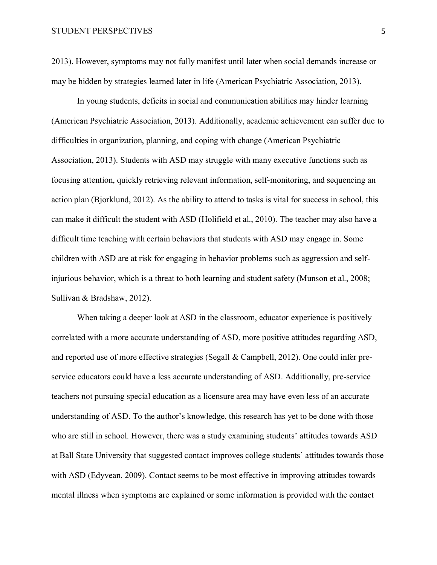2013). However, symptoms may not fully manifest until later when social demands increase or may be hidden by strategies learned later in life (American Psychiatric Association, 2013).

In young students, deficits in social and communication abilities may hinder learning (American Psychiatric Association, 2013). Additionally, academic achievement can suffer due to difficulties in organization, planning, and coping with change (American Psychiatric Association, 2013). Students with ASD may struggle with many executive functions such as focusing attention, quickly retrieving relevant information, self-monitoring, and sequencing an action plan (Bjorklund, 2012). As the ability to attend to tasks is vital for success in school, this can make it difficult the student with ASD (Holifield et al., 2010). The teacher may also have a difficult time teaching with certain behaviors that students with ASD may engage in. Some children with ASD are at risk for engaging in behavior problems such as aggression and selfinjurious behavior, which is a threat to both learning and student safety (Munson et al., 2008; Sullivan & Bradshaw, 2012).

When taking a deeper look at ASD in the classroom, educator experience is positively correlated with a more accurate understanding of ASD, more positive attitudes regarding ASD, and reported use of more effective strategies (Segall & Campbell, 2012). One could infer preservice educators could have a less accurate understanding of ASD. Additionally, pre-service teachers not pursuing special education as a licensure area may have even less of an accurate understanding of ASD. To the author's knowledge, this research has yet to be done with those who are still in school. However, there was a study examining students' attitudes towards ASD at Ball State University that suggested contact improves college students' attitudes towards those with ASD (Edyvean, 2009). Contact seems to be most effective in improving attitudes towards mental illness when symptoms are explained or some information is provided with the contact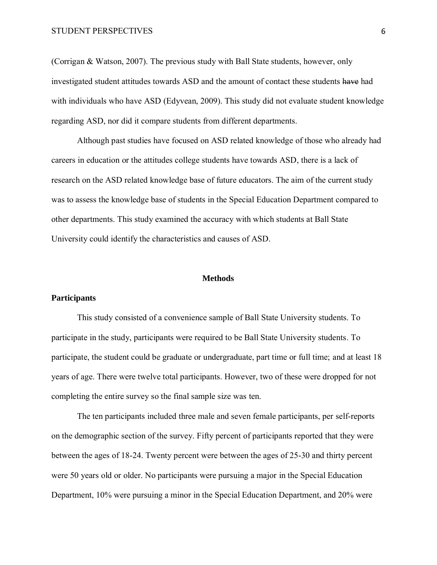(Corrigan & Watson, 2007). The previous study with Ball State students, however, only investigated student attitudes towards ASD and the amount of contact these students have had with individuals who have ASD (Edyvean, 2009). This study did not evaluate student knowledge regarding ASD, nor did it compare students from different departments.

Although past studies have focused on ASD related knowledge of those who already had careers in education or the attitudes college students have towards ASD, there is a lack of research on the ASD related knowledge base of future educators. The aim of the current study was to assess the knowledge base of students in the Special Education Department compared to other departments. This study examined the accuracy with which students at Ball State University could identify the characteristics and causes of ASD.

# **Methods**

# **Participants**

This study consisted of a convenience sample of Ball State University students. To participate in the study, participants were required to be Ball State University students. To participate, the student could be graduate or undergraduate, part time or full time; and at least 18 years of age. There were twelve total participants. However, two of these were dropped for not completing the entire survey so the final sample size was ten.

The ten participants included three male and seven female participants, per self-reports on the demographic section of the survey. Fifty percent of participants reported that they were between the ages of 18-24. Twenty percent were between the ages of 25-30 and thirty percent were 50 years old or older. No participants were pursuing a major in the Special Education Department, 10% were pursuing a minor in the Special Education Department, and 20% were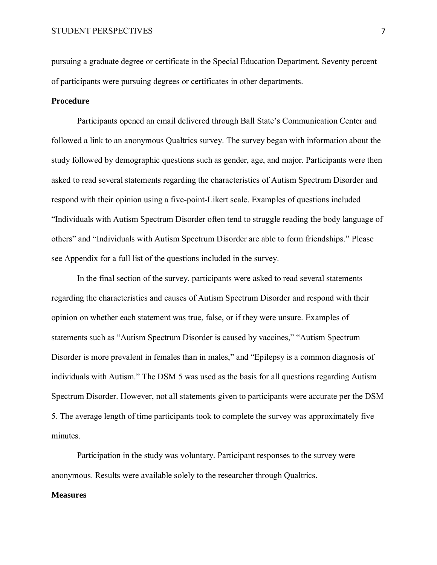pursuing a graduate degree or certificate in the Special Education Department. Seventy percent of participants were pursuing degrees or certificates in other departments.

# **Procedure**

Participants opened an email delivered through Ball State's Communication Center and followed a link to an anonymous Qualtrics survey. The survey began with information about the study followed by demographic questions such as gender, age, and major. Participants were then asked to read several statements regarding the characteristics of Autism Spectrum Disorder and respond with their opinion using a five-point-Likert scale. Examples of questions included "Individuals with Autism Spectrum Disorder often tend to struggle reading the body language of others" and "Individuals with Autism Spectrum Disorder are able to form friendships." Please see Appendix for a full list of the questions included in the survey.

In the final section of the survey, participants were asked to read several statements regarding the characteristics and causes of Autism Spectrum Disorder and respond with their opinion on whether each statement was true, false, or if they were unsure. Examples of statements such as "Autism Spectrum Disorder is caused by vaccines," "Autism Spectrum Disorder is more prevalent in females than in males," and "Epilepsy is a common diagnosis of individuals with Autism." The DSM 5 was used as the basis for all questions regarding Autism Spectrum Disorder. However, not all statements given to participants were accurate per the DSM 5. The average length of time participants took to complete the survey was approximately five minutes.

Participation in the study was voluntary. Participant responses to the survey were anonymous. Results were available solely to the researcher through Qualtrics.

# **Measures**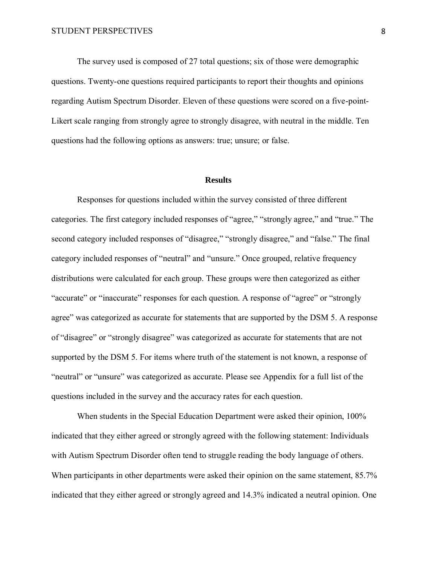The survey used is composed of 27 total questions; six of those were demographic questions. Twenty-one questions required participants to report their thoughts and opinions regarding Autism Spectrum Disorder. Eleven of these questions were scored on a five-point-Likert scale ranging from strongly agree to strongly disagree, with neutral in the middle. Ten questions had the following options as answers: true; unsure; or false.

### **Results**

Responses for questions included within the survey consisted of three different categories. The first category included responses of "agree," "strongly agree," and "true." The second category included responses of "disagree," "strongly disagree," and "false." The final category included responses of "neutral" and "unsure." Once grouped, relative frequency distributions were calculated for each group. These groups were then categorized as either "accurate" or "inaccurate" responses for each question. A response of "agree" or "strongly agree" was categorized as accurate for statements that are supported by the DSM 5. A response of "disagree" or "strongly disagree" was categorized as accurate for statements that are not supported by the DSM 5. For items where truth of the statement is not known, a response of "neutral" or "unsure" was categorized as accurate. Please see Appendix for a full list of the questions included in the survey and the accuracy rates for each question.

When students in the Special Education Department were asked their opinion, 100% indicated that they either agreed or strongly agreed with the following statement: Individuals with Autism Spectrum Disorder often tend to struggle reading the body language of others. When participants in other departments were asked their opinion on the same statement, 85.7% indicated that they either agreed or strongly agreed and 14.3% indicated a neutral opinion. One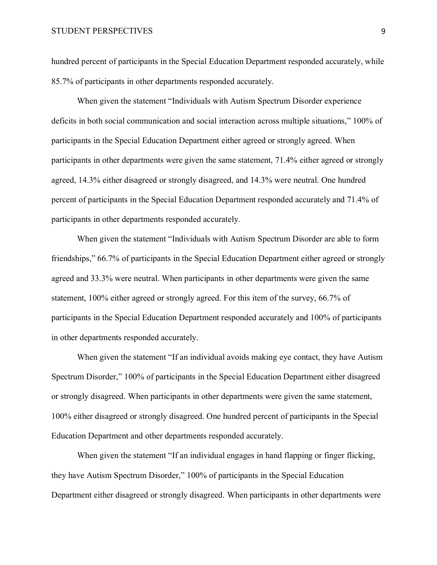hundred percent of participants in the Special Education Department responded accurately, while 85.7% of participants in other departments responded accurately.

When given the statement "Individuals with Autism Spectrum Disorder experience deficits in both social communication and social interaction across multiple situations," 100% of participants in the Special Education Department either agreed or strongly agreed. When participants in other departments were given the same statement, 71.4% either agreed or strongly agreed, 14.3% either disagreed or strongly disagreed, and 14.3% were neutral. One hundred percent of participants in the Special Education Department responded accurately and 71.4% of participants in other departments responded accurately.

When given the statement "Individuals with Autism Spectrum Disorder are able to form friendships," 66.7% of participants in the Special Education Department either agreed or strongly agreed and 33.3% were neutral. When participants in other departments were given the same statement, 100% either agreed or strongly agreed. For this item of the survey, 66.7% of participants in the Special Education Department responded accurately and 100% of participants in other departments responded accurately.

When given the statement "If an individual avoids making eye contact, they have Autism Spectrum Disorder," 100% of participants in the Special Education Department either disagreed or strongly disagreed. When participants in other departments were given the same statement, 100% either disagreed or strongly disagreed. One hundred percent of participants in the Special Education Department and other departments responded accurately.

When given the statement "If an individual engages in hand flapping or finger flicking, they have Autism Spectrum Disorder," 100% of participants in the Special Education Department either disagreed or strongly disagreed. When participants in other departments were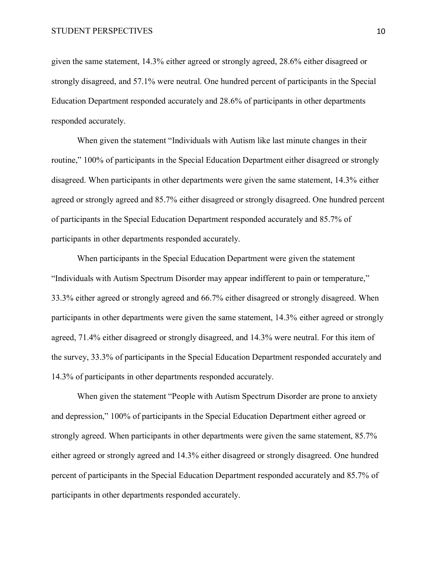given the same statement, 14.3% either agreed or strongly agreed, 28.6% either disagreed or strongly disagreed, and 57.1% were neutral. One hundred percent of participants in the Special Education Department responded accurately and 28.6% of participants in other departments responded accurately.

When given the statement "Individuals with Autism like last minute changes in their routine," 100% of participants in the Special Education Department either disagreed or strongly disagreed. When participants in other departments were given the same statement, 14.3% either agreed or strongly agreed and 85.7% either disagreed or strongly disagreed. One hundred percent of participants in the Special Education Department responded accurately and 85.7% of participants in other departments responded accurately.

When participants in the Special Education Department were given the statement "Individuals with Autism Spectrum Disorder may appear indifferent to pain or temperature," 33.3% either agreed or strongly agreed and 66.7% either disagreed or strongly disagreed. When participants in other departments were given the same statement, 14.3% either agreed or strongly agreed, 71.4% either disagreed or strongly disagreed, and 14.3% were neutral. For this item of the survey, 33.3% of participants in the Special Education Department responded accurately and 14.3% of participants in other departments responded accurately.

When given the statement "People with Autism Spectrum Disorder are prone to anxiety and depression," 100% of participants in the Special Education Department either agreed or strongly agreed. When participants in other departments were given the same statement, 85.7% either agreed or strongly agreed and 14.3% either disagreed or strongly disagreed. One hundred percent of participants in the Special Education Department responded accurately and 85.7% of participants in other departments responded accurately.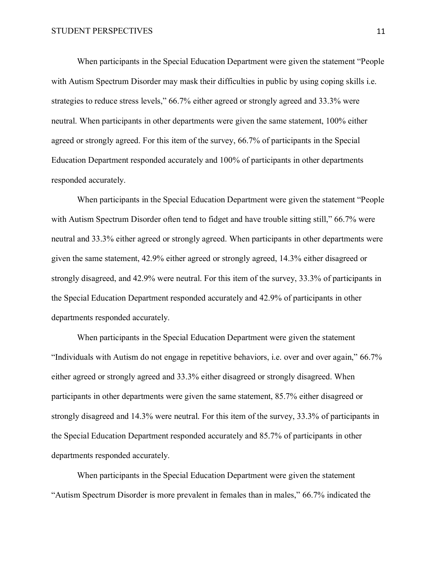When participants in the Special Education Department were given the statement "People with Autism Spectrum Disorder may mask their difficulties in public by using coping skills i.e. strategies to reduce stress levels," 66.7% either agreed or strongly agreed and 33.3% were neutral. When participants in other departments were given the same statement, 100% either agreed or strongly agreed. For this item of the survey, 66.7% of participants in the Special Education Department responded accurately and 100% of participants in other departments responded accurately.

When participants in the Special Education Department were given the statement "People with Autism Spectrum Disorder often tend to fidget and have trouble sitting still," 66.7% were neutral and 33.3% either agreed or strongly agreed. When participants in other departments were given the same statement, 42.9% either agreed or strongly agreed, 14.3% either disagreed or strongly disagreed, and 42.9% were neutral. For this item of the survey, 33.3% of participants in the Special Education Department responded accurately and 42.9% of participants in other departments responded accurately.

When participants in the Special Education Department were given the statement "Individuals with Autism do not engage in repetitive behaviors, i.e. over and over again," 66.7% either agreed or strongly agreed and 33.3% either disagreed or strongly disagreed. When participants in other departments were given the same statement, 85.7% either disagreed or strongly disagreed and 14.3% were neutral. For this item of the survey, 33.3% of participants in the Special Education Department responded accurately and 85.7% of participants in other departments responded accurately.

When participants in the Special Education Department were given the statement "Autism Spectrum Disorder is more prevalent in females than in males," 66.7% indicated the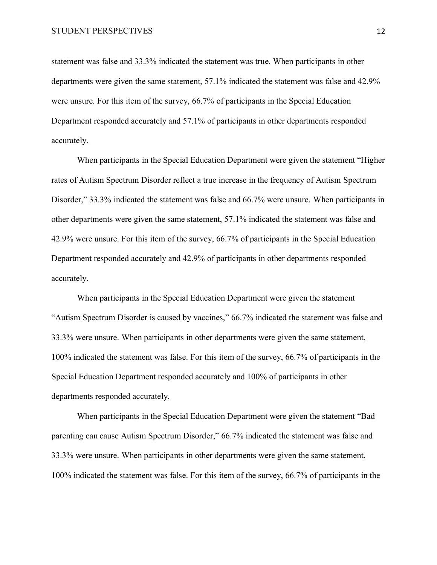statement was false and 33.3% indicated the statement was true. When participants in other departments were given the same statement, 57.1% indicated the statement was false and 42.9% were unsure. For this item of the survey, 66.7% of participants in the Special Education Department responded accurately and 57.1% of participants in other departments responded accurately.

When participants in the Special Education Department were given the statement "Higher rates of Autism Spectrum Disorder reflect a true increase in the frequency of Autism Spectrum Disorder," 33.3% indicated the statement was false and 66.7% were unsure. When participants in other departments were given the same statement, 57.1% indicated the statement was false and 42.9% were unsure. For this item of the survey, 66.7% of participants in the Special Education Department responded accurately and 42.9% of participants in other departments responded accurately.

When participants in the Special Education Department were given the statement "Autism Spectrum Disorder is caused by vaccines," 66.7% indicated the statement was false and 33.3% were unsure. When participants in other departments were given the same statement, 100% indicated the statement was false. For this item of the survey, 66.7% of participants in the Special Education Department responded accurately and 100% of participants in other departments responded accurately.

When participants in the Special Education Department were given the statement "Bad parenting can cause Autism Spectrum Disorder," 66.7% indicated the statement was false and 33.3% were unsure. When participants in other departments were given the same statement, 100% indicated the statement was false. For this item of the survey, 66.7% of participants in the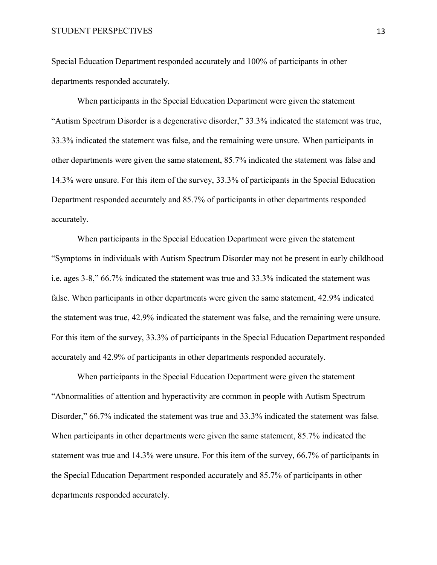Special Education Department responded accurately and 100% of participants in other departments responded accurately.

When participants in the Special Education Department were given the statement "Autism Spectrum Disorder is a degenerative disorder," 33.3% indicated the statement was true, 33.3% indicated the statement was false, and the remaining were unsure. When participants in other departments were given the same statement, 85.7% indicated the statement was false and 14.3% were unsure. For this item of the survey, 33.3% of participants in the Special Education Department responded accurately and 85.7% of participants in other departments responded accurately.

When participants in the Special Education Department were given the statement "Symptoms in individuals with Autism Spectrum Disorder may not be present in early childhood i.e. ages 3-8," 66.7% indicated the statement was true and 33.3% indicated the statement was false. When participants in other departments were given the same statement, 42.9% indicated the statement was true, 42.9% indicated the statement was false, and the remaining were unsure. For this item of the survey, 33.3% of participants in the Special Education Department responded accurately and 42.9% of participants in other departments responded accurately.

When participants in the Special Education Department were given the statement "Abnormalities of attention and hyperactivity are common in people with Autism Spectrum Disorder," 66.7% indicated the statement was true and 33.3% indicated the statement was false. When participants in other departments were given the same statement, 85.7% indicated the statement was true and 14.3% were unsure. For this item of the survey, 66.7% of participants in the Special Education Department responded accurately and 85.7% of participants in other departments responded accurately.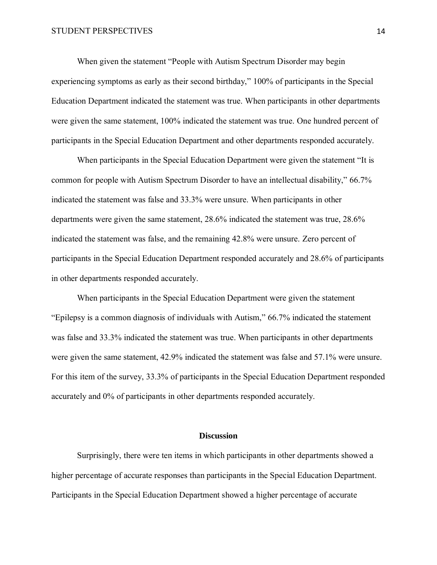When given the statement "People with Autism Spectrum Disorder may begin experiencing symptoms as early as their second birthday," 100% of participants in the Special Education Department indicated the statement was true. When participants in other departments were given the same statement, 100% indicated the statement was true. One hundred percent of participants in the Special Education Department and other departments responded accurately.

When participants in the Special Education Department were given the statement "It is common for people with Autism Spectrum Disorder to have an intellectual disability," 66.7% indicated the statement was false and 33.3% were unsure. When participants in other departments were given the same statement, 28.6% indicated the statement was true, 28.6% indicated the statement was false, and the remaining 42.8% were unsure. Zero percent of participants in the Special Education Department responded accurately and 28.6% of participants in other departments responded accurately.

When participants in the Special Education Department were given the statement "Epilepsy is a common diagnosis of individuals with Autism," 66.7% indicated the statement was false and 33.3% indicated the statement was true. When participants in other departments were given the same statement, 42.9% indicated the statement was false and 57.1% were unsure. For this item of the survey, 33.3% of participants in the Special Education Department responded accurately and 0% of participants in other departments responded accurately.

# **Discussion**

Surprisingly, there were ten items in which participants in other departments showed a higher percentage of accurate responses than participants in the Special Education Department. Participants in the Special Education Department showed a higher percentage of accurate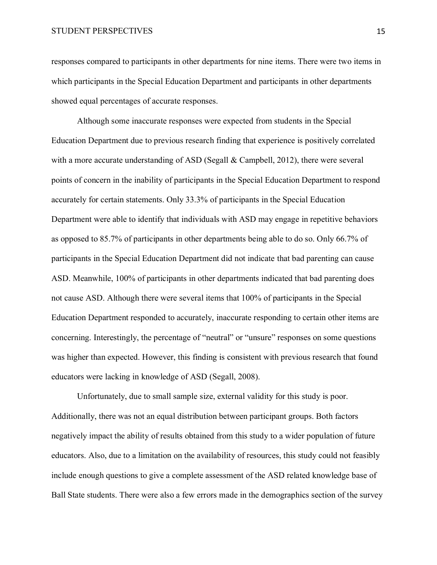responses compared to participants in other departments for nine items. There were two items in which participants in the Special Education Department and participants in other departments showed equal percentages of accurate responses.

Although some inaccurate responses were expected from students in the Special Education Department due to previous research finding that experience is positively correlated with a more accurate understanding of ASD (Segall & Campbell, 2012), there were several points of concern in the inability of participants in the Special Education Department to respond accurately for certain statements. Only 33.3% of participants in the Special Education Department were able to identify that individuals with ASD may engage in repetitive behaviors as opposed to 85.7% of participants in other departments being able to do so. Only 66.7% of participants in the Special Education Department did not indicate that bad parenting can cause ASD. Meanwhile, 100% of participants in other departments indicated that bad parenting does not cause ASD. Although there were several items that 100% of participants in the Special Education Department responded to accurately, inaccurate responding to certain other items are concerning. Interestingly, the percentage of "neutral" or "unsure" responses on some questions was higher than expected. However, this finding is consistent with previous research that found educators were lacking in knowledge of ASD (Segall, 2008).

Unfortunately, due to small sample size, external validity for this study is poor. Additionally, there was not an equal distribution between participant groups. Both factors negatively impact the ability of results obtained from this study to a wider population of future educators. Also, due to a limitation on the availability of resources, this study could not feasibly include enough questions to give a complete assessment of the ASD related knowledge base of Ball State students. There were also a few errors made in the demographics section of the survey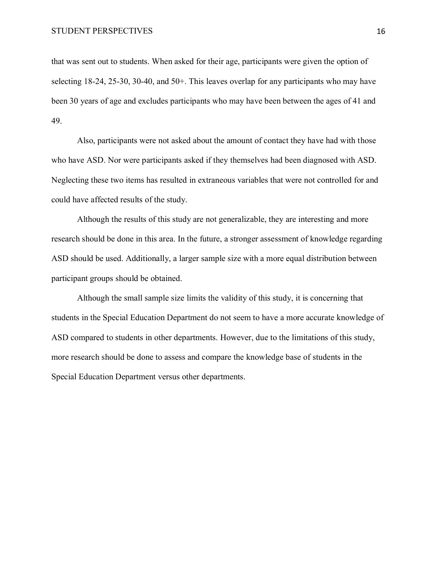that was sent out to students. When asked for their age, participants were given the option of selecting 18-24, 25-30, 30-40, and 50+. This leaves overlap for any participants who may have been 30 years of age and excludes participants who may have been between the ages of 41 and 49.

Also, participants were not asked about the amount of contact they have had with those who have ASD. Nor were participants asked if they themselves had been diagnosed with ASD. Neglecting these two items has resulted in extraneous variables that were not controlled for and could have affected results of the study.

Although the results of this study are not generalizable, they are interesting and more research should be done in this area. In the future, a stronger assessment of knowledge regarding ASD should be used. Additionally, a larger sample size with a more equal distribution between participant groups should be obtained.

Although the small sample size limits the validity of this study, it is concerning that students in the Special Education Department do not seem to have a more accurate knowledge of ASD compared to students in other departments. However, due to the limitations of this study, more research should be done to assess and compare the knowledge base of students in the Special Education Department versus other departments.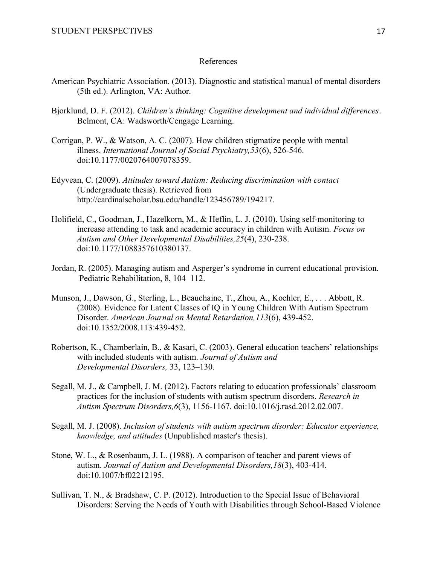# References

- American Psychiatric Association. (2013). Diagnostic and statistical manual of mental disorders (5th ed.). Arlington, VA: Author.
- Bjorklund, D. F. (2012). *Children's thinking: Cognitive development and individual differences*. Belmont, CA: Wadsworth/Cengage Learning.
- Corrigan, P. W., & Watson, A. C. (2007). How children stigmatize people with mental illness. *International Journal of Social Psychiatry,53*(6), 526-546. doi:10.1177/0020764007078359.
- Edyvean, C. (2009). *Attitudes toward Autism: Reducing discrimination with contact*  (Undergraduate thesis). Retrieved from http://cardinalscholar.bsu.edu/handle/123456789/194217.
- Holifield, C., Goodman, J., Hazelkorn, M., & Heflin, L. J. (2010). Using self-monitoring to increase attending to task and academic accuracy in children with Autism. *Focus on Autism and Other Developmental Disabilities,25*(4), 230-238. doi:10.1177/1088357610380137.
- Jordan, R. (2005). Managing autism and Asperger's syndrome in current educational provision. Pediatric Rehabilitation, 8, 104–112.
- Munson, J., Dawson, G., Sterling, L., Beauchaine, T., Zhou, A., Koehler, E., . . . Abbott, R. (2008). Evidence for Latent Classes of IQ in Young Children With Autism Spectrum Disorder. *American Journal on Mental Retardation,113*(6), 439-452. doi:10.1352/2008.113:439-452.
- Robertson, K., Chamberlain, B., & Kasari, C. (2003). General education teachers' relationships with included students with autism. *Journal of Autism and Developmental Disorders,* 33, 123–130.
- Segall, M. J., & Campbell, J. M. (2012). Factors relating to education professionals' classroom practices for the inclusion of students with autism spectrum disorders. *Research in Autism Spectrum Disorders,6*(3), 1156-1167. doi:10.1016/j.rasd.2012.02.007.
- Segall, M. J. (2008). *Inclusion of students with autism spectrum disorder: Educator experience, knowledge, and attitudes* (Unpublished master's thesis).
- Stone, W. L., & Rosenbaum, J. L. (1988). A comparison of teacher and parent views of autism. *Journal of Autism and Developmental Disorders,18*(3), 403-414. doi:10.1007/bf02212195.
- Sullivan, T. N., & Bradshaw, C. P. (2012). Introduction to the Special Issue of Behavioral Disorders: Serving the Needs of Youth with Disabilities through School-Based Violence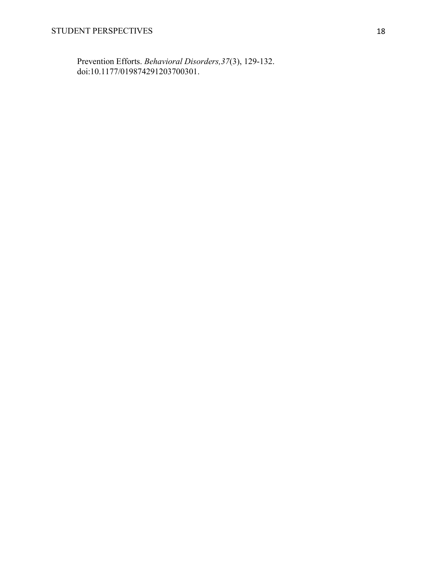Prevention Efforts. *Behavioral Disorders,37*(3), 129-132. doi:10.1177/019874291203700301.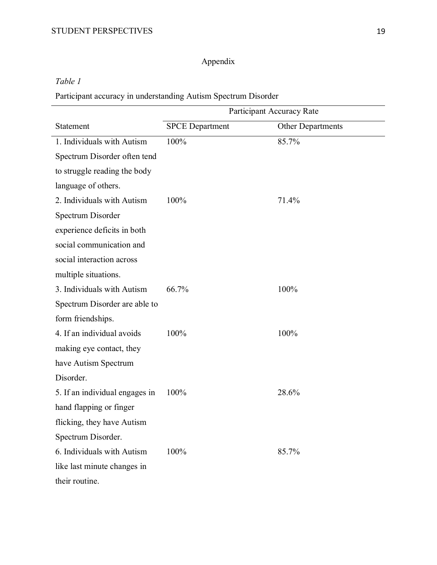# Appendix

*Table 1*

Participant accuracy in understanding Autism Spectrum Disorder

|                                | Participant Accuracy Rate |                   |
|--------------------------------|---------------------------|-------------------|
| Statement                      | <b>SPCE</b> Department    | Other Departments |
| 1. Individuals with Autism     | 100%                      | 85.7%             |
| Spectrum Disorder often tend   |                           |                   |
| to struggle reading the body   |                           |                   |
| language of others.            |                           |                   |
| 2. Individuals with Autism     | 100%                      | 71.4%             |
| Spectrum Disorder              |                           |                   |
| experience deficits in both    |                           |                   |
| social communication and       |                           |                   |
| social interaction across      |                           |                   |
| multiple situations.           |                           |                   |
| 3. Individuals with Autism     | 66.7%                     | 100%              |
| Spectrum Disorder are able to  |                           |                   |
| form friendships.              |                           |                   |
| 4. If an individual avoids     | 100%                      | 100%              |
| making eye contact, they       |                           |                   |
| have Autism Spectrum           |                           |                   |
| Disorder.                      |                           |                   |
| 5. If an individual engages in | 100%                      | 28.6%             |
| hand flapping or finger        |                           |                   |
| flicking, they have Autism     |                           |                   |
| Spectrum Disorder.             |                           |                   |
| 6. Individuals with Autism     | 100%                      | 85.7%             |
| like last minute changes in    |                           |                   |
| their routine.                 |                           |                   |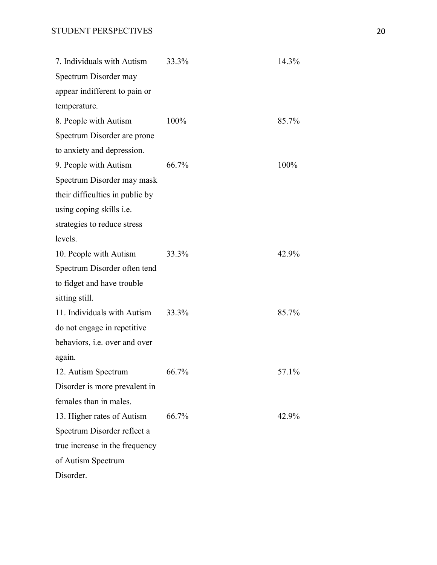| 7. Individuals with Autism      | 33.3% | 14.3% |
|---------------------------------|-------|-------|
| Spectrum Disorder may           |       |       |
| appear indifferent to pain or   |       |       |
| temperature.                    |       |       |
| 8. People with Autism           | 100%  | 85.7% |
| Spectrum Disorder are prone     |       |       |
| to anxiety and depression.      |       |       |
| 9. People with Autism           | 66.7% | 100%  |
| Spectrum Disorder may mask      |       |       |
| their difficulties in public by |       |       |
| using coping skills i.e.        |       |       |
| strategies to reduce stress     |       |       |
| levels.                         |       |       |
| 10. People with Autism          | 33.3% | 42.9% |
| Spectrum Disorder often tend    |       |       |
| to fidget and have trouble      |       |       |
| sitting still.                  |       |       |
| 11. Individuals with Autism     | 33.3% | 85.7% |
| do not engage in repetitive     |       |       |
| behaviors, i.e. over and over   |       |       |
| again.                          |       |       |
| 12. Autism Spectrum             | 66.7% | 57.1% |
| Disorder is more prevalent in   |       |       |
| females than in males.          |       |       |
| 13. Higher rates of Autism      | 66.7% | 42.9% |
| Spectrum Disorder reflect a     |       |       |
| true increase in the frequency  |       |       |
| of Autism Spectrum              |       |       |
| Disorder.                       |       |       |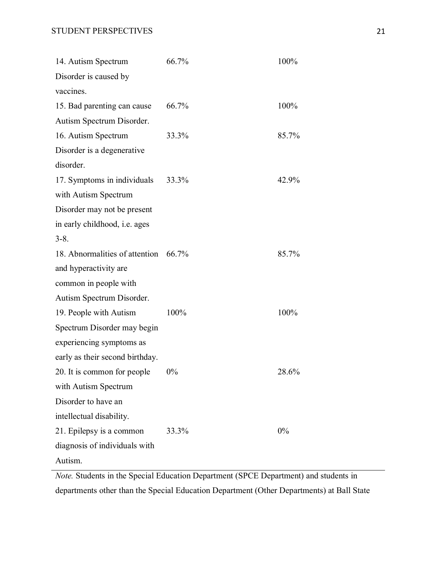| 14. Autism Spectrum                  | 66.7% | 100%  |
|--------------------------------------|-------|-------|
| Disorder is caused by                |       |       |
| vaccines.                            |       |       |
| 15. Bad parenting can cause          | 66.7% | 100%  |
| Autism Spectrum Disorder.            |       |       |
| 16. Autism Spectrum                  | 33.3% | 85.7% |
| Disorder is a degenerative           |       |       |
| disorder.                            |       |       |
| 17. Symptoms in individuals          | 33.3% | 42.9% |
| with Autism Spectrum                 |       |       |
| Disorder may not be present          |       |       |
| in early childhood, i.e. ages        |       |       |
| $3 - 8$ .                            |       |       |
| 18. Abnormalities of attention 66.7% |       | 85.7% |
| and hyperactivity are                |       |       |
| common in people with                |       |       |
| Autism Spectrum Disorder.            |       |       |
| 19. People with Autism               | 100%  | 100%  |
| Spectrum Disorder may begin          |       |       |
| experiencing symptoms as             |       |       |
| early as their second birthday.      |       |       |
| 20. It is common for people          | $0\%$ | 28.6% |
| with Autism Spectrum                 |       |       |
| Disorder to have an                  |       |       |
| intellectual disability.             |       |       |
| 21. Epilepsy is a common             | 33.3% | 0%    |
| diagnosis of individuals with        |       |       |
| Autism.                              |       |       |

*Note.* Students in the Special Education Department (SPCE Department) and students in departments other than the Special Education Department (Other Departments) at Ball State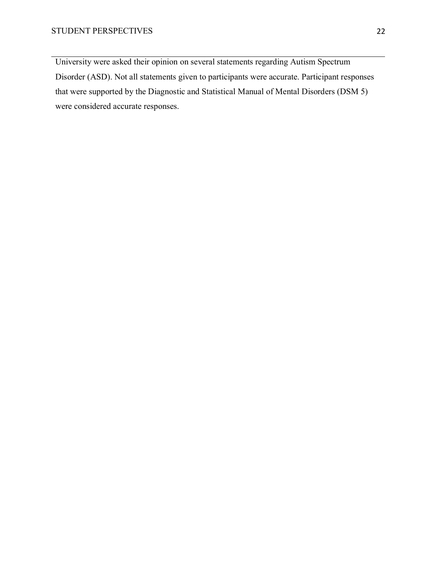University were asked their opinion on several statements regarding Autism Spectrum Disorder (ASD). Not all statements given to participants were accurate. Participant responses that were supported by the Diagnostic and Statistical Manual of Mental Disorders (DSM 5) were considered accurate responses.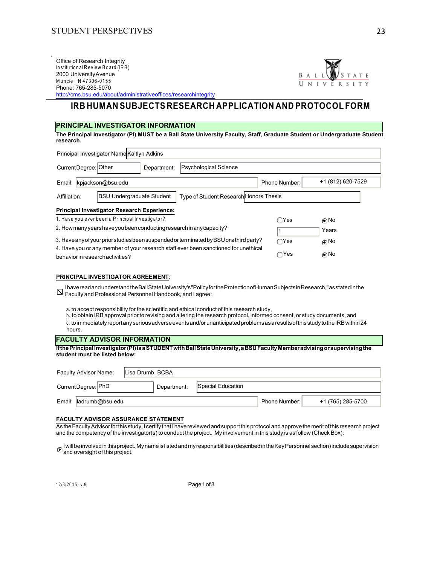Office of Research Integrity Office of Research Integrity<br>Institutional Review Board (IRB)<br>2000 University Avenue<br>Muncio IN 47306 0455 2000 University Avenue<br>Muncie, IN 47306-0155 Office of Research Integrity<br>Institutional Review Board (IRB)<br>2000 University Avenue<br>Muncie, IN 47306-0155<br>Phone: 765-285-50/00 Phone: 765-285-5070



http://cms.bsu.edu/about/administrativeoffices/researchintegrity

# **IRB HUMAN SUBJECTS RESEARCH APPLICATION AND PROTOCOL FORM**

### **PRINCIPAL INVESTIGATOR INFORMATION**

**The Principal Investigator (PI) MUST be a Ball State University Faculty, Staff, Graduate Student or Undergraduate Student research.** 

| Principal Investigator Name Kaitlyn Adkins                                                 |               |                   |
|--------------------------------------------------------------------------------------------|---------------|-------------------|
| CurrentDegree: Other<br><b>Psychological Science</b><br>Department:                        |               |                   |
| kpjackson@bsu.edu<br>Email:                                                                | Phone Number: | +1 (812) 620-7529 |
| Type of Student Research Honors Thesis<br><b>BSU Undergraduate Student</b><br>Affiliation: |               |                   |
| <b>Principal Investigator Research Experience:</b>                                         |               |                   |
| 1. Have you ever been a Principal Investigator?                                            | $\bigcap$ Yes | ∩No               |
| 2. How many years have you been conducting research in any capacity?                       |               | Years             |
| 3. Have any of your prior studies been suspended or terminated by BSU or a third party?    | $\bigcap$ Yes | $\odot$ No        |
| 4. Have you or any member of your research staff ever been sanctioned for unethical        |               |                   |
| behavior in research activities?                                                           | $\bigcap$ Yes | ∩No               |

### **PRINCIPAL INVESTIGATOR AGREEMENT**:

I have read and understand the Ball State University's "Policy for the Protection of Human Subjects in Research," as stated in the  $\overline{\mathsf{N}}$  Faculty and Professional Personnel Handbook, and I agree:

a. to accept responsibility for the scientific and ethical conduct of this research study,

b. to obtain IRB approval prior to revising and altering the research protocol, informed consent, or study documents, and c. to immediately report any serious adverse events and/or unanticipated problems as a results of this study to the IRB within 24

hours.

### **FACULTY ADVISOR INFORMATION**

**If the Principal Investigator (PI) is a STUDENT with Ball State University, a BSU Faculty Member advising or supervising the student must be listed below:** 

| Faculty Advisor Name:<br>Lisa Drumb, BCBA |                        |  |  |             |                   |               |                   |
|-------------------------------------------|------------------------|--|--|-------------|-------------------|---------------|-------------------|
|                                           | CurrentDegree: PhD     |  |  | Department: | Special Education |               |                   |
|                                           | Email: ladrumb@bsu.edu |  |  |             |                   | Phone Number: | +1 (765) 285-5700 |

### **FACULTY ADVISOR ASSURANCE STATEMENT**

As the Faculty Advisor for this study, I certify that I have reviewed and support this protocol and approve the merit of this research project and the competency of the investigator(s) to conduct the project. My involvement in this study is as follow (Check Box):

I will be involved in this project. My name is listed and my responsibilities (described in the Key Personnel section) include supervision and oversight of this project.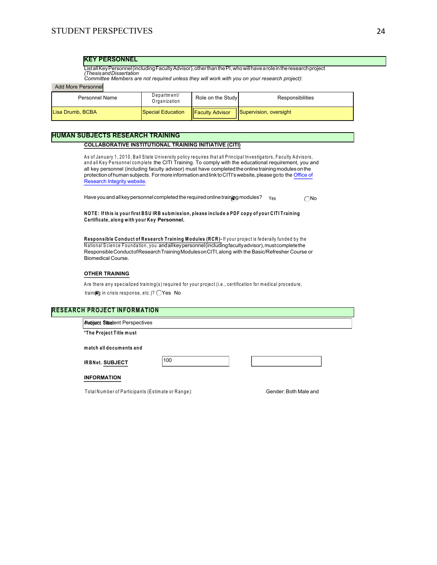### **KEY PERSONNEL**

Listall Key Personnel (including Faculty Advisor), other than the PI, who will have a role in the research project<br>*(Thesis and Dissertation*<br>Committee Members are not *required unless they will work with you on your resea* 

### Add More Personnel

| <b>Personnel Name</b> | Department/<br>Organization | Role on the Study       | <b>Responsibilities</b>       |
|-----------------------|-----------------------------|-------------------------|-------------------------------|
| Lisa Drumb, BCBA      | Special Education           | <b>IFaculty Advisor</b> | <b>Supervision, oversight</b> |

### **HUMAN SUBJECTS RESEARCH TRAINING**

### **COLLABORATIVE INSTITUTIONAL TRAINING INITIATIVE (CITI)**

**BJECTS RESEARCH TRAINING<br>COLLABORATIVE INSTITUTIONAL TRAINING INITIATIVE (CITI)**<br>As of January 1, 2010, Ball State University policy requires that all Principal Investigators, Faculty Advisors,<br>and all Key Personnel cincl **BJECTS RESEARCH TRAINING<br>COLLABORATIVE INSTITUTIONAL TRAINING INITIATIVE (CITI)**<br>As of January 1, 2010, Ball State University policy requires that all Principal Investigators, Faculty Advisors,<br>and all Key Personnel (incl all key personnel (including faculty advisor) must have completed the online training modules on the protection of human subjects. For more information and link to CITI's website, please go to the Office of Research Integrity website.

Have you and all key personnel completed the required online training modules?  $Y_{ES}$  No

**NO TE: If this is your first BSU IR B subm ission, please include a PDF copy of your C ITI Training Certificate, along w ith your K ey Personnel.** 

**ROTE: If this is your first BSU IRB submission, please include a PDF copy of your CITI Training<br>Certificate, along with your Key Personnel.<br>Responsible Conduct of Research Training Modules (RCR)- If your project is federa** NOTE: It this is your tirst BSU IRB submission, please include a PDF copy of your CITIT raining<br>Certificate, along with your Key Personnel.<br>Responsible Conduct of Research Training Modules (RCR)- If your project is federal Responsible Conduct of Research Training Modules on CITI, along with the Basic/Refresher Course or Biomedical Course.

### **OTHER TRAINING**

Responsible Conductof Research Training Modules on CTT, along with the Basic/Refresher Course of<br>Biomedical Course.<br>OTHER TRAINING<br>Are there any specialized training(s) required for your project (i.e., certification for me **OTHER TRAINING**<br>Are there any specialized training(s) required for your p<br>training in crisis response, etc.)? OYes No

# **\* PROJECT INFORM<br>Audject Situat**ent Perspe<br>\*The Project Title must **RESEARCH PROJECT INFORMATION**

Project Title: **m atch all documents and the all documents and match all documents and** Autism: Student Perspectives

\*The Project Title must<br>match all documents and<br>IRBNet. SUBJECT

The TREAGE REAGE.<br>
INFORMATION<br>
Total Number of Participants (Estimate or Range): Gender: Both Male and

### **INFORMATION**

100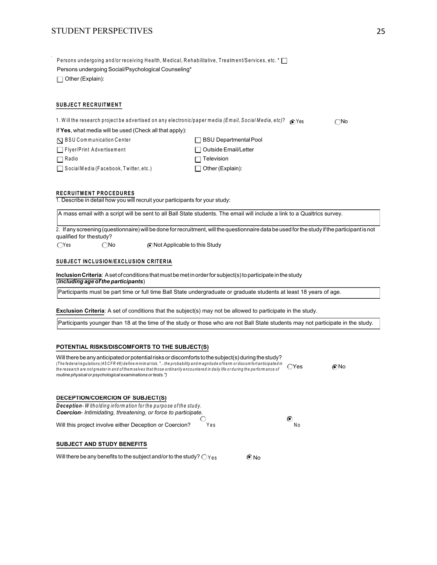# STUDENT PERSPECTIVES 25

Persons undergoing and/or receiving Health, Medical, Rehabilitative, Treatment/Services, etc. \*  $\Box$ Persons undergoing Social/Psychological Counseling\* Other (Explain):

### **SUBJECT RECRUITMENT**

| <b>SUBJECT RECRUITMENT</b>                                                                           |                              |              |
|------------------------------------------------------------------------------------------------------|------------------------------|--------------|
| 1. Will the research project be advertised on any electronic/paper media (Email, Social Media, etc)? | ∩ Yes                        | $\bigcap$ No |
| If Yes, what media will be used (Check all that apply):                                              |                              |              |
| $\nabla$ BSU Communication Center                                                                    | <b>BSU Departmental Pool</b> |              |
| Flyer/Print Advertisement                                                                            | Outside Email/Letter         |              |
| $\Box$ Radio                                                                                         | Television                   |              |
| $\Box$ Social Media (Facebook, Twitter, etc.)                                                        | Other (Explain):             |              |
| <b>RECRUITMENT PROCEDURES</b>                                                                        |                              |              |
| 1. Describe in detail how you will recruit your participants for your study:                         |                              |              |

A mass email with a script will be sent to all Ball State students. The email will include a link to a Qualtrics survey.

2. If any screening (questionnaire) will be done for recruitment, will the questionnaire data be used for the study if the participant is not qualified for the study?

 $\bigcirc$  Yes  $\bigcirc$  No  $\bigcirc$  Not Applicable to this Study

### **SUBJECT INCLUSION/EXCLUSION CRITERIA**

**Inclusion Criteria**: A set of conditions that must be met in order for subject(s) to participate in the study (*including age of the participants*)

Participants must be part time or full time Ball State undergraduate or graduate students at least 18 years of age.

**Exclusion Criteria**: A set of conditions that the subject(s) may not be allowed to participate in the study.

Participants younger than 18 at the time of the study or those who are not Ball State students may not participate in the study.

### **POTENTIAL RISKS/DISCOMFORTS TO THE SUBJECT(S)**

| Will there be any anticipated or potential risks or discomforts to the subject(s) during the study?<br>(The federal regulations (45 CFR 46) define minimal risk, "the probability and magnitude of harm ordiscomfort anticipated in<br>the research are not greater in and of themselves that those ordinarily encountered in daily life or during the performance of | ∩Yes    | Mo |
|-----------------------------------------------------------------------------------------------------------------------------------------------------------------------------------------------------------------------------------------------------------------------------------------------------------------------------------------------------------------------|---------|----|
| routine physical or psychological examinations or tests.")                                                                                                                                                                                                                                                                                                            |         |    |
|                                                                                                                                                                                                                                                                                                                                                                       |         |    |
|                                                                                                                                                                                                                                                                                                                                                                       |         |    |
| DECEPTION/COERCION OF SUBJECT(S)<br>Deception - Witholding information for the purpose of the study.                                                                                                                                                                                                                                                                  |         |    |
| Coercion-Intimidating, threatening, or force to participate.                                                                                                                                                                                                                                                                                                          |         |    |
| Will this project involve either Deception or Coercion?<br>Yes                                                                                                                                                                                                                                                                                                        | C<br>N٥ |    |

# **SUBJECT AND STUDY BENEFITS**

Will there be any benefits to the subject and/or to the study?  $\bigcirc$   $\gamma_{es}$   $\bigcirc$  No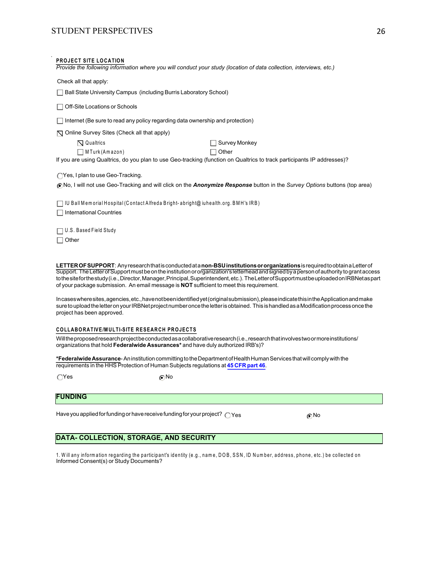| <b>STUDENT PERSPECTIVES</b>                                                                                                                                                                                                                                                                                                                                                                                                                                                                                                     | 26 |
|---------------------------------------------------------------------------------------------------------------------------------------------------------------------------------------------------------------------------------------------------------------------------------------------------------------------------------------------------------------------------------------------------------------------------------------------------------------------------------------------------------------------------------|----|
| <b>PROJECT SITE LOCATION</b><br>Provide the following information where you will conduct your study (location of data collection, interviews, etc.)                                                                                                                                                                                                                                                                                                                                                                             |    |
| Check all that apply:                                                                                                                                                                                                                                                                                                                                                                                                                                                                                                           |    |
| Ball State University Campus (including Burris Laboratory School)                                                                                                                                                                                                                                                                                                                                                                                                                                                               |    |
| Off-Site Locations or Schools                                                                                                                                                                                                                                                                                                                                                                                                                                                                                                   |    |
| Internet (Be sure to read any policy regarding data ownership and protection)                                                                                                                                                                                                                                                                                                                                                                                                                                                   |    |
| ◯ Online Survey Sites (Check all that apply)                                                                                                                                                                                                                                                                                                                                                                                                                                                                                    |    |
| $\nabla$ Qualtrics<br>Survey Monkey                                                                                                                                                                                                                                                                                                                                                                                                                                                                                             |    |
| $\Box$ M Turk (Amazon)<br>Other                                                                                                                                                                                                                                                                                                                                                                                                                                                                                                 |    |
| If you are using Qualtrics, do you plan to use Geo-tracking (function on Qualtrics to track participants IP addresses)?                                                                                                                                                                                                                                                                                                                                                                                                         |    |
| ◯ Yes, I plan to use Geo-Tracking.                                                                                                                                                                                                                                                                                                                                                                                                                                                                                              |    |
| (No, I will not use Geo-Tracking and will click on the Anonymize Response button in the Survey Options buttons (top area)                                                                                                                                                                                                                                                                                                                                                                                                       |    |
| IU Ball Memorial Hospital (Contact Alfreda Bright-abright@ juhealth.org. BMH's IRB)<br><b>International Countries</b>                                                                                                                                                                                                                                                                                                                                                                                                           |    |
| U.S. Based Field Study<br>$\Box$ Other                                                                                                                                                                                                                                                                                                                                                                                                                                                                                          |    |
| LETTER OF SUPPORT: Any research that is conducted at a non-BSU institutions or organizations is required to obtain a Letter of<br>Support. The Letter of Support must be on the institution or organization's letterhead and signed by a person of authority to grant access<br>tothe site for the study (i.e., Director, Manager, Principal, Superintendent, etc.). The Letter of Support must be uploaded on IRBNetas part<br>of your package submission. An email message is <b>NOT</b> sufficient to meet this requirement. |    |
|                                                                                                                                                                                                                                                                                                                                                                                                                                                                                                                                 |    |

In cases where sites, agencies, etc., have not been identified yet (original submission), please indicate this in the Application and make sure to upload the letter on your IRBNet project number once the letter is obtained. This is handled as a Modification process once the project has been approved. Incases where sites, agencies, etc., have not been identified<br>sure to upload the letter on your IRBNet project number onc<br>project has been approved.<br>COLLABORATIVE/MULTI-SITE RESEARCH PROJECTS<br>Will the proposed research pro

Will the proposed research project be conducted as a collaborative research (i.e., research that involves two or more institutions/ organizations that hold **Federalwide Assurances\*** and have duly authorized IRB's)?

**\*Federalwide Assurance**- An institution committing to the Department of Health Human Services that will comply with the requirements in the HHS Protection of Human Subjects regulations at **45 CFR part 46**.

 $\bigcirc$ Yes  $\bigcirc$ No

# **FUNDING**

Have you applied for funding or have receive funding for your project?  $\bigcirc$  Yes  $\bigcirc$  No

# **DATA- COLLECTION, STORAGE, AND SECURITY**

1. Will any information regarding the participant's identity (e.g., name, DOB, SSN, ID Number, address, phone, etc.) be collected on Informed Consent(s) or Study Documents?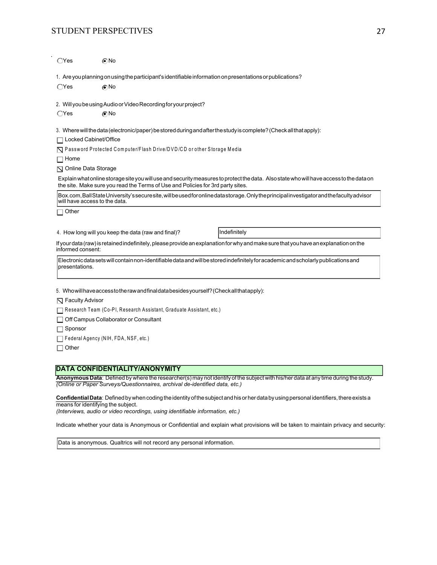# STUDENT PERSPECTIVES 27

 $OYes$   $ONO$ 

|                              | 1. Are you planning on using the participant's identifiable information on presentations or publications? |                                                                                                                                            |
|------------------------------|-----------------------------------------------------------------------------------------------------------|--------------------------------------------------------------------------------------------------------------------------------------------|
| $\bigcirc$ Yes               | ∩No                                                                                                       |                                                                                                                                            |
|                              | 2. Will you be using Audio or Video Recording for your project?                                           |                                                                                                                                            |
| $\bigcirc$ Yes               | ெ No                                                                                                      |                                                                                                                                            |
|                              |                                                                                                           | 3. Where will the data (electronic/paper) be stored during and after the study is complete? (Check all that apply):                        |
| □ Locked Cabinet/Office      |                                                                                                           |                                                                                                                                            |
|                              | ◯ Password Protected Computer/Flash Drive/DVD/CD or other Storage Media                                   |                                                                                                                                            |
| $\Box$ Home                  |                                                                                                           |                                                                                                                                            |
| $\nabla$ Online Data Storage |                                                                                                           |                                                                                                                                            |
|                              | the site. Make sure you read the Terms of Use and Policies for 3rd party sites.                           | Explain what online storage site you will use and security measures to protect the data. Also state who will have access to the data on    |
|                              | will have access to the data.                                                                             | Box.com, Ball State University's secure site, will be used for online datastorage. Only the principal investigator and the faculty advisor |
| $\Box$ Other                 |                                                                                                           |                                                                                                                                            |
|                              |                                                                                                           |                                                                                                                                            |
|                              | 4. How long will you keep the data (raw and final)?                                                       | Indefinitely                                                                                                                               |
| informed consent:            |                                                                                                           | If your data (raw) is retained indefinitely, please provide an explanation for why and make sure that you have an explanation on the       |
| presentations.               |                                                                                                           | Electronic data sets will contain non-identifiable data and will be stored indefinitely for academic and scholarly publications and        |
|                              |                                                                                                           |                                                                                                                                            |
|                              | 5. Whowill have access to the raw and final data besides yourself? (Checkall that apply):                 |                                                                                                                                            |
| $\nabla$ Faculty Advisor     |                                                                                                           |                                                                                                                                            |
|                              | Research Team (Co-PI, Research Assistant, Graduate Assistant, etc.)                                       |                                                                                                                                            |
|                              | Off Campus Collaborator or Consultant                                                                     |                                                                                                                                            |
| $\Box$ Sponsor               |                                                                                                           |                                                                                                                                            |
|                              | Federal Agency (NIH, FDA, NSF, etc.)                                                                      |                                                                                                                                            |
| $\Box$ Other                 |                                                                                                           |                                                                                                                                            |

# **DATA CONFIDENTIALITY/ANONYMITY**

**Anonymous Data**: Defined by where the researcher(s) may not identify of the subject with his/her data at any time during the study. *(Online or Paper Surveys/Questionnaires, archival de-identified data, etc.)* 

**Confidential Data**: Defined by when coding the identity of the subject and his or her data by using personal identifiers, there exists a means for identifying the subject.

*(Interviews, audio or video recordings, using identifiable information, etc.)* 

Indicate whether your data is Anonymous or Confidential and explain what provisions will be taken to maintain privacy and security:

Data is anonymous. Qualtrics will not record any personal information.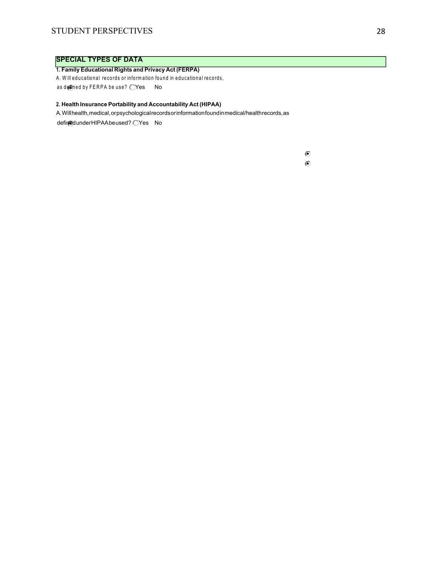# **SPECIAL TYPES OF DATA**

### **1. Family Educational Rights and Privacy Act (FERPA)**

A. Will educational records or information found in educational records,

as defined by FERPA be use?  $\bigcirc$ Yes No

# **2. Health Insurance Portability and Accountability Act (HIPAA)**

A. Will health, medical, or psychological records or information found in medical/health records, as

defined under HIPAA be used? OYes No

 $\odot$  $\odot$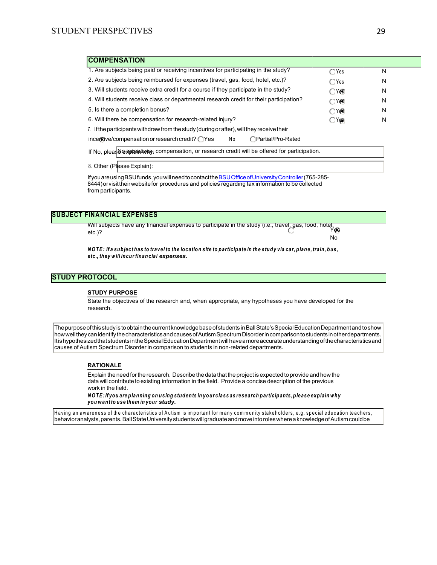| <b>COMPENSATION</b>                                                                                 |                |   |
|-----------------------------------------------------------------------------------------------------|----------------|---|
| 1. Are subjects being paid or receiving incentives for participating in the study?                  | $\bigcirc$ Yes | N |
| 2. Are subjects being reimbursed for expenses (travel, gas, food, hotel, etc.)?                     | $\bigcirc$ Yes | N |
| 3. Will students receive extra credit for a course if they participate in the study?                | YG)<br>⊂       | N |
| 4. Will students receive class or departmental research credit for their participation?             | )Y⊛<br>С       | N |
| 5. Is there a completion bonus?                                                                     | OY®            | N |
| 6. Will there be compensation for research-related injury?                                          | $\bigcirc$ Yps | N |
| 7. If the participants withdraw from the study (during or after), will they receive their           |                |   |
| $\frac{1}{2}$ incertive/compensation or research credit? $\bigcirc$ Yes<br>∩Partial/Pro-Rated<br>No |                |   |
| If No. please water it was compensation, or research credit will be offered for participation.      |                |   |

8. Other (Please Explain):

If you are using BSU funds, you will need to contact the BSU Office of University Controller (765-285- 8444) or visit their website for procedures and policies regarding tax information to be collected from participants.

### **SUBJECT FINANCIAL EXPENSES**

Will subjects have any financial expenses to participate in the study (i.e., travel, gas, food, hotel, etc.)? Yes No INANCIAL EXPENSES<br>Will subjects have any financial expenses to participate in the study (i.e., travel, gas, food, hotel,<br>etc.)?<br>MOTE: If a subject has to travel to the location site to participate in the study via car, pla *w*ill subjects have any financial expensetc.)?<br>etc.)?<br>NOTE: Ifa subject has to travel to the loc:<br>etc., they will incur financial <mark>expenses.</mark>

### **STUDY PROTOCOL**

### **STUDY PURPOSE**

State the objectives of the research and, when appropriate, any hypotheses you have developed for the research.

ThepurposeofthisstudyistoobtainthecurrentknowledgebaseofstudentsinBallState'sSpecialEducationDepartmentandtoshow howwelltheycanidentifythecharacteristicsandcausesofAutismSpectrumDisorderincomparisontostudentsinotherdepartments. ItishypothesizedthatstudentsintheSpecialEducationDepartmentwillhaveamoreaccurateunderstandingofthecharacteristicsand causes of Autism Spectrum Disorder in comparison to students in non-related departments.

### **RATIONALE**

Explain the need for the research. Describe the data that the project is expected to provide and how the data will contribute to existing information in the field. Provide a concise description of the previous work in the field. **RATIONALE**<br>*Ex*plain the need for the research . Describe the data that the project is expected to provide and how the data will contribute to existing information in the field. Provide a concise description of the previo **Explain the need for the research. De**<br>
data will contribute to existing inform<br>
work in the field.<br>
NOTE: If you are planning on using si<br>
you want to use them in your study.

Having an awareness of the characteristics of Autism is important for many community stakeholders, e.g. special education teachers, behavioranalysts,parents.BallStateUniversitystudentswillgraduateandmoveintoroleswhereaknowledgeofAutismcouldbe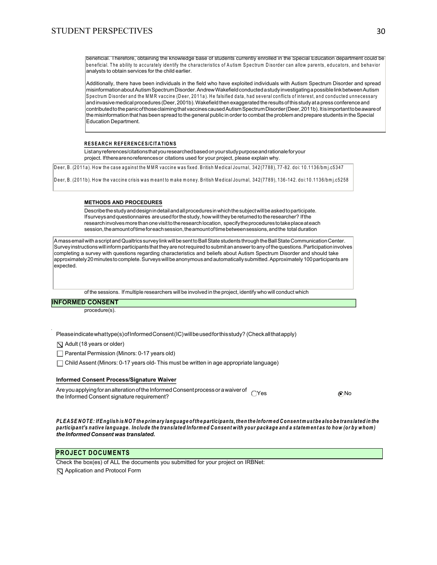beneficial. Therefore, obtaining the knowledge base of students currently enrolled in the Special Education department could be beneficial. The ability to accurately identify the characteristics of Autism Spectrum Disorder can allow parents, educators, and behavior analysts to obtain services for the child earlier.

**RESEARCH REFERENCES/CITATIONS**<br>
List any references/citations that you researched based on your study purpose and rationale for your<br>
List any references/citations that you researched based on your study purpose and ratio Additionally, there have been individuals in the field who have exploited individuals with Autism Spectrum Disorder and spread misinformationaboutAutismSpectrumDisorder.AndrewWakefieldconductedastudyinvestigatingapossiblelinkbetweenAutism  $\rm S$  pectrum Disorder and the MMR vaccine (Deer, 2011a). He falsified data, had several conflicts of interest, and conducted unnecessary and invasive medical procedures (Deer, 2001b). Wakefield then exaggerated the results of this study at a press conference and contributed to the panic of those claiming that vaccines caused Autism Spectrum Disorder (Deer, 2011b). It is important to be aware of the misinformation that has been spread to the general public in order to combat the problem and prepare students in the Special Education Department.

project. If there are no references or citations used for your project, please explain why.

Deer, B. (2011a). How the case against the MMR vaccine was fixed. British Medical Journal, 342 (7788), 77-82. doi: 10.1136/bmj.c5347

Deer, B. (2011b). How the vaccine crisis was meant to make money. British Medical Journal, 342 (7789), 136-142. doi:10.1136/bmj.c5258

### **METHODS AND PROCEDURES**

Describe the study and design in detail and all procedures in which the subject will be asked to participate. If surveys and questionnaires are used for the study, how will they be returned to the researcher? If the research involves more than one visit to the research location, specify the procedures to take place at each session, the amount of time for each session, the amount of time between sessions, and the total duration

A mass email with a script and Qualtrics survey link will be sent to Ball State students through the Ball State Communication Center. Surveyinstructionswill informparticipantsthattheyarenotrequiredtosubmitananswertoanyofthequestions.Participationinvolves completing a survey with questions regarding characteristics and beliefs about Autism Spectrum Disorder and should take approximately 20 minutes to complete. Surveys will be anonymous and automatically submitted. Approximately 100 participants are expected.

of the sessions. If multiple researchers will be involved in the project, identify who will conduct which

### **INFORMED CONSENT**

procedure(s).

Please indicate what type(s) of Informed Consent (IC) will be used for this study? (Check all that apply)

 $\nabla$  Adult (18 years or older)

Parental Permission (Minors: 0-17 years old)

 $\Box$  Child Assent (Minors: 0-17 years old- This must be written in age appropriate language)

### **Informed Consent Process/Signature Waiver**

Are you applying for an alteration of the Informed Consent process or a waiver of the Informed Consent signature requirement? Yes No

*PLEA SE NO* CHEA SE NO TE: If English is NOT the primary language of the participants, then the Informed Consent must be also be translated in the<br>PLEA SE NOTE: If English is NOT the primary language of the participants, *participant's native language. Include the translated Informed Consent signature requirement?*<br>PLEASE NOTE: If English is NOT the primary language of the participants, then the Informed Consent must be also be translated *the Informed Consent was translated.* 

### **PROJECT DOCUMENTS**

Check the box(es) of ALL the documents you submitted for your project on IRBNet:

 $\nabla$  Application and Protocol Form